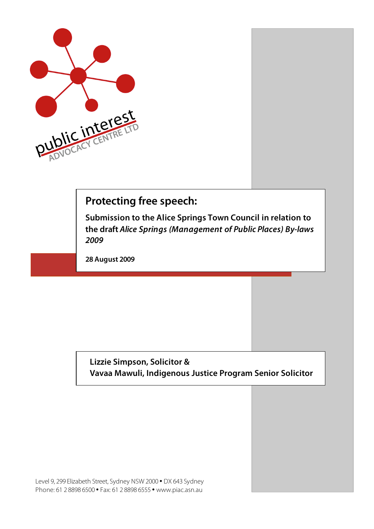

## **Protecting free speech:**

**Submission to the Alice Springs Town Council in relation to the draft Alice Springs (Management of Public Places) By-laws 2009**

**28 August 2009**

## **Lizzie Simpson, Solicitor & Vavaa Mawuli, Indigenous Justice Program Senior Solicitor**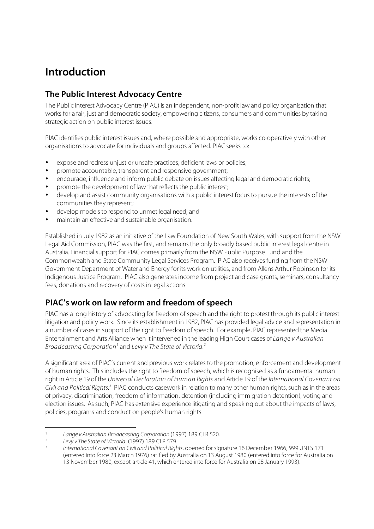# **Introduction**

### **The Public Interest Advocacy Centre**

The Public Interest Advocacy Centre (PIAC) is an independent, non-profit law and policy organisation that works for a fair, just and democratic society, empowering citizens, consumers and communities by taking strategic action on public interest issues.

PIAC identifies public interest issues and, where possible and appropriate, works co-operatively with other organisations to advocate for individuals and groups affected. PIAC seeks to:

- expose and redress unjust or unsafe practices, deficient laws or policies;
- promote accountable, transparent and responsive government;
- encourage, influence and inform public debate on issues affecting legal and democratic rights;
- promote the development of law that reflects the public interest;
- develop and assist community organisations with a public interest focus to pursue the interests of the communities they represent;
- develop models to respond to unmet legal need; and
- maintain an effective and sustainable organisation.

Established in July 1982 as an initiative of the Law Foundation of New South Wales, with support from the NSW Legal Aid Commission, PIAC was the first, and remains the only broadly based public interest legal centre in Australia. Financial support for PIAC comes primarily from the NSW Public Purpose Fund and the Commonwealth and State Community Legal Services Program. PIAC also receives funding from the NSW Government Department of Water and Energy for its work on utilities, and from Allens Arthur Robinson for its Indigenous Justice Program. PIAC also generates income from project and case grants, seminars, consultancy fees, donations and recovery of costs in legal actions.

### **PIAC's work on law reform and freedom of speech**

PIAC has a long history of advocating for freedom of speech and the right to protest through its public interest litigation and policy work. Since its establishment in 1982, PIAC has provided legal advice and representation in a number of cases in support of the right to freedom of speech. For example, PIAC represented the Media Entertainment and Arts Alliance when it intervened in the leading High Court cases of Lange v Australian Broadcasting Corporation<sup>1</sup> and Levy v The State of Victoria.<sup>2</sup>

A significant area of PIAC's current and previous work relates to the promotion, enforcement and development of human rights. This includes the right to freedom of speech, which is recognised as a fundamental human right in Article 19 of the Universal Declaration of Human Rights and Article 19 of the International Covenant on Civil and Political Rights.<sup>3</sup> PIAC conducts casework in relation to many other human rights, such as in the areas of privacy, discrimination, freedom of information, detention (including immigration detention), voting and election issues. As such, PIAC has extensive experience litigating and speaking out about the impacts of laws, policies, programs and conduct on people's human rights.

<sup>&</sup>lt;sup>1</sup> Lange v Australian Broadcasting Corporation (1997) 189 CLR 520.<br><sup>2</sup> Levy v The State of Victoria (1997) 189 CLR 579.

<sup>3</sup> International Covenant on Civil and Political Rights, opened for signature 16 December 1966, 999 UNTS 171 (entered into force 23 March 1976) ratified by Australia on 13 August 1980 (entered into force for Australia on 13 November 1980, except article 41, which entered into force for Australia on 28 January 1993).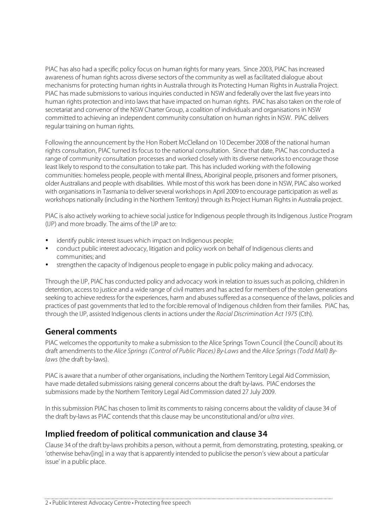PIAC has also had a specific policy focus on human rights for many years. Since 2003, PIAC has increased awareness of human rights across diverse sectors of the community as well as facilitated dialogue about mechanisms for protecting human rights in Australia through its Protecting Human Rights in Australia Project. PIAC has made submissions to various inquiries conducted in NSW and federally over the last five years into human rights protection and into laws that have impacted on human rights. PIAC has also taken on the role of secretariat and convenor of the NSW Charter Group, a coalition of individuals and organisations in NSW committed to achieving an independent community consultation on human rights in NSW. PIAC delivers regular training on human rights.

Following the announcement by the Hon Robert McClelland on 10 December 2008 of the national human rights consultation, PIAC turned its focus to the national consultation. Since that date, PIAC has conducted a range of community consultation processes and worked closely with its diverse networks to encourage those least likely to respond to the consultation to take part. This has included working with the following communities: homeless people, people with mental illness, Aboriginal people, prisoners and former prisoners, older Australians and people with disabilities. While most of this work has been done in NSW, PIAC also worked with organisations in Tasmania to deliver several workshops in April 2009 to encourage participation as well as workshops nationally (including in the Northern Territory) through its Project Human Rights in Australia project.

PIAC is also actively working to achieve social justice for Indigenous people through its Indigenous Justice Program (IJP) and more broadly. The aims of the IJP are to:

- identify public interest issues which impact on Indigenous people;
- conduct public interest advocacy, litigation and policy work on behalf of Indigenous clients and communities; and
- strengthen the capacity of Indigenous people to engage in public policy making and advocacy.

Through the IJP, PIAC has conducted policy and advocacy work in relation to issues such as policing, children in detention, access to justice and a wide range of civil matters and has acted for members of the stolen generations seeking to achieve redress for the experiences, harm and abuses suffered as a consequence of the laws, policies and practices of past governments that led to the forcible removal of Indigenous children from their families. PIAC has, through the IJP, assisted Indigenous clients in actions under the Racial Discrimination Act 1975 (Cth).

#### **General comments**

PIAC welcomes the opportunity to make a submission to the Alice Springs Town Council (the Council) about its draft amendments to the Alice Springs (Control of Public Places) By-Laws and the Alice Springs (Todd Mall) Bylaws (the draft by-laws).

PIAC is aware that a number of other organisations, including the Northern Territory Legal Aid Commission, have made detailed submissions raising general concerns about the draft by-laws. PIAC endorses the submissions made by the Northern Territory Legal Aid Commission dated 27 July 2009.

In this submission PIAC has chosen to limit its comments to raising concerns about the validity of clause 34 of the draft by-laws as PIAC contends that this clause may be unconstitutional and/or ultra vires.

#### **Implied freedom of political communication and clause 34**

Clause 34 of the draft by-laws prohibits a person, without a permit, from demonstrating, protesting, speaking, or 'otherwise behav[ing] in a way that is apparently intended to publicise the person's view about a particular issue' in a public place.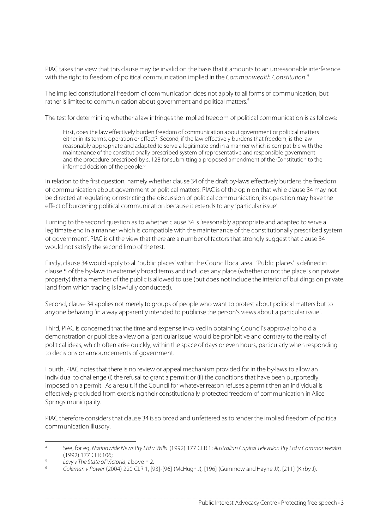PIAC takes the view that this clause may be invalid on the basis that it amounts to an unreasonable interference with the right to freedom of political communication implied in the Commonwealth Constitution.<sup>4</sup>

The implied constitutional freedom of communication does not apply to all forms of communication, but rather is limited to communication about government and political matters.<sup>5</sup>

The test for determining whether a law infringes the implied freedom of political communication is as follows:

First, does the law effectively burden freedom of communication about government or political matters either in its terms, operation or effect? Second, if the law effectively burdens that freedom, is the law reasonably appropriate and adapted to serve a legitimate end in a manner which is compatible with the maintenance of the constitutionally prescribed system of representative and responsible government and the procedure prescribed by s. 128 for submitting a proposed amendment of the Constitution to the informed decision of the people.<sup>6</sup>

In relation to the first question, namely whether clause 34 of the draft by-laws effectively burdens the freedom of communication about government or political matters, PIAC is of the opinion that while clause 34 may not be directed at regulating or restricting the discussion of political communication, its operation may have the effect of burdening political communication because it extends to any 'particular issue'.

Turning to the second question as to whether clause 34 is 'reasonably appropriate and adapted to serve a legitimate end in a manner which is compatible with the maintenance of the constitutionally prescribed system of government', PIAC is of the view that there are a number of factors that strongly suggest that clause 34 would not satisfy the second limb of the test.

Firstly, clause 34 would apply to all 'public places' within the Council local area. 'Public places' is defined in clause 5 of the by-laws in extremely broad terms and includes any place (whether or not the place is on private property) that a member of the public is allowed to use (but does not include the interior of buildings on private land from which trading is lawfully conducted).

Second, clause 34 applies not merely to groups of people who want to protest about political matters but to anyone behaving 'in a way apparently intended to publicise the person's views about a particular issue'.

Third, PIAC is concerned that the time and expense involved in obtaining Council's approval to hold a demonstration or publicise a view on a 'particular issue' would be prohibitive and contrary to the reality of political ideas, which often arise quickly, within the space of days or even hours, particularly when responding to decisions or announcements of government.

Fourth, PIAC notes that there is no review or appeal mechanism provided for in the by-laws to allow an individual to challenge (i) the refusal to grant a permit; or (ii) the conditions that have been purportedly imposed on a permit. As a result, if the Council for whatever reason refuses a permit then an individual is effectively precluded from exercising their constitutionally protected freedom of communication in Alice Springs municipality.

PIAC therefore considers that clause 34 is so broad and unfettered as to render the implied freedom of political communication illusory.

<sup>4</sup> See, for eg, Nationwide News Pty Ltd v Wills (1992) 177 CLR 1; Australian Capital Television Pty Ltd v Commonwealth (1992) 177 CLR 106;

 $5$  Levy v The State of Victoria, above n 2.

<sup>6</sup> Coleman v Power (2004) 220 CLR 1, [93]-[96] (McHugh J), [196] (Gummow and Hayne JJ), [211] (Kirby J).